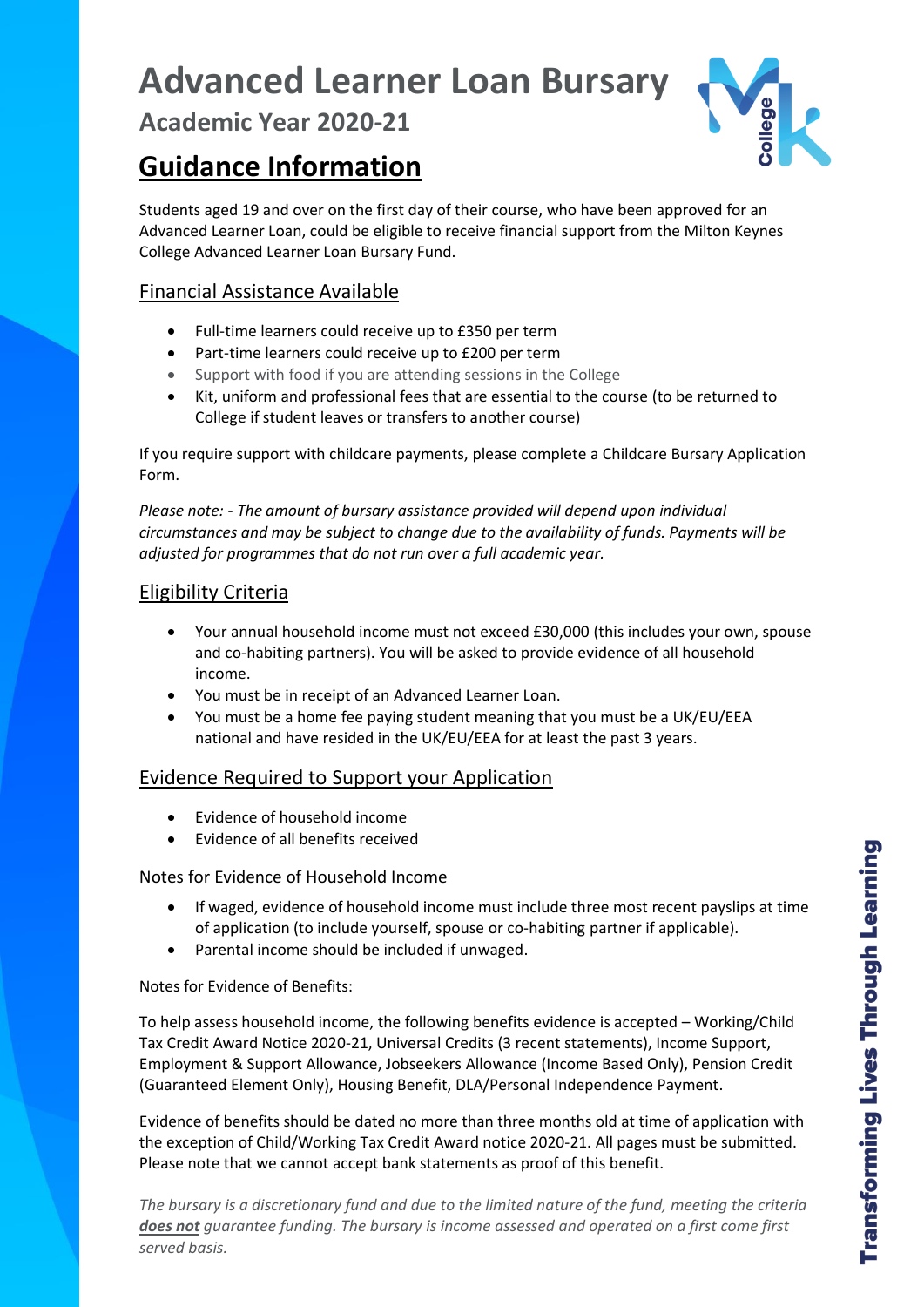# **Advanced Learner Loan Bursary**

**Academic Year 2020-21**

# **Guidance Information**



Students aged 19 and over on the first day of their course, who have been approved for an Advanced Learner Loan, could be eligible to receive financial support from the Milton Keynes College Advanced Learner Loan Bursary Fund.

# Financial Assistance Available

- Full-time learners could receive up to £350 per term
- Part-time learners could receive up to £200 per term
- Support with food if you are attending sessions in the College
- Kit, uniform and professional fees that are essential to the course (to be returned to College if student leaves or transfers to another course)

If you require support with childcare payments, please complete a Childcare Bursary Application Form.

*Please note: - The amount of bursary assistance provided will depend upon individual circumstances and may be subject to change due to the availability of funds. Payments will be adjusted for programmes that do not run over a full academic year.*

# Eligibility Criteria

- Your annual household income must not exceed £30,000 (this includes your own, spouse and co-habiting partners). You will be asked to provide evidence of all household income.
- You must be in receipt of an Advanced Learner Loan.
- You must be a home fee paying student meaning that you must be a UK/EU/EEA national and have resided in the UK/EU/EEA for at least the past 3 years.

## Evidence Required to Support your Application

- Evidence of household income
- Evidence of all benefits received

### Notes for Evidence of Household Income

- If waged, evidence of household income must include three most recent payslips at time of application (to include yourself, spouse or co-habiting partner if applicable).
- Parental income should be included if unwaged.

Notes for Evidence of Benefits:

To help assess household income, the following benefits evidence is accepted – Working/Child Tax Credit Award Notice 2020-21, Universal Credits (3 recent statements), Income Support, Employment & Support Allowance, Jobseekers Allowance (Income Based Only), Pension Credit (Guaranteed Element Only), Housing Benefit, DLA/Personal Independence Payment.

Evidence of benefits should be dated no more than three months old at time of application with the exception of Child/Working Tax Credit Award notice 2020-21. All pages must be submitted. Please note that we cannot accept bank statements as proof of this benefit.

*The bursary is a discretionary fund and due to the limited nature of the fund, meeting the criteria does not guarantee funding. The bursary is income assessed and operated on a first come first served basis.*